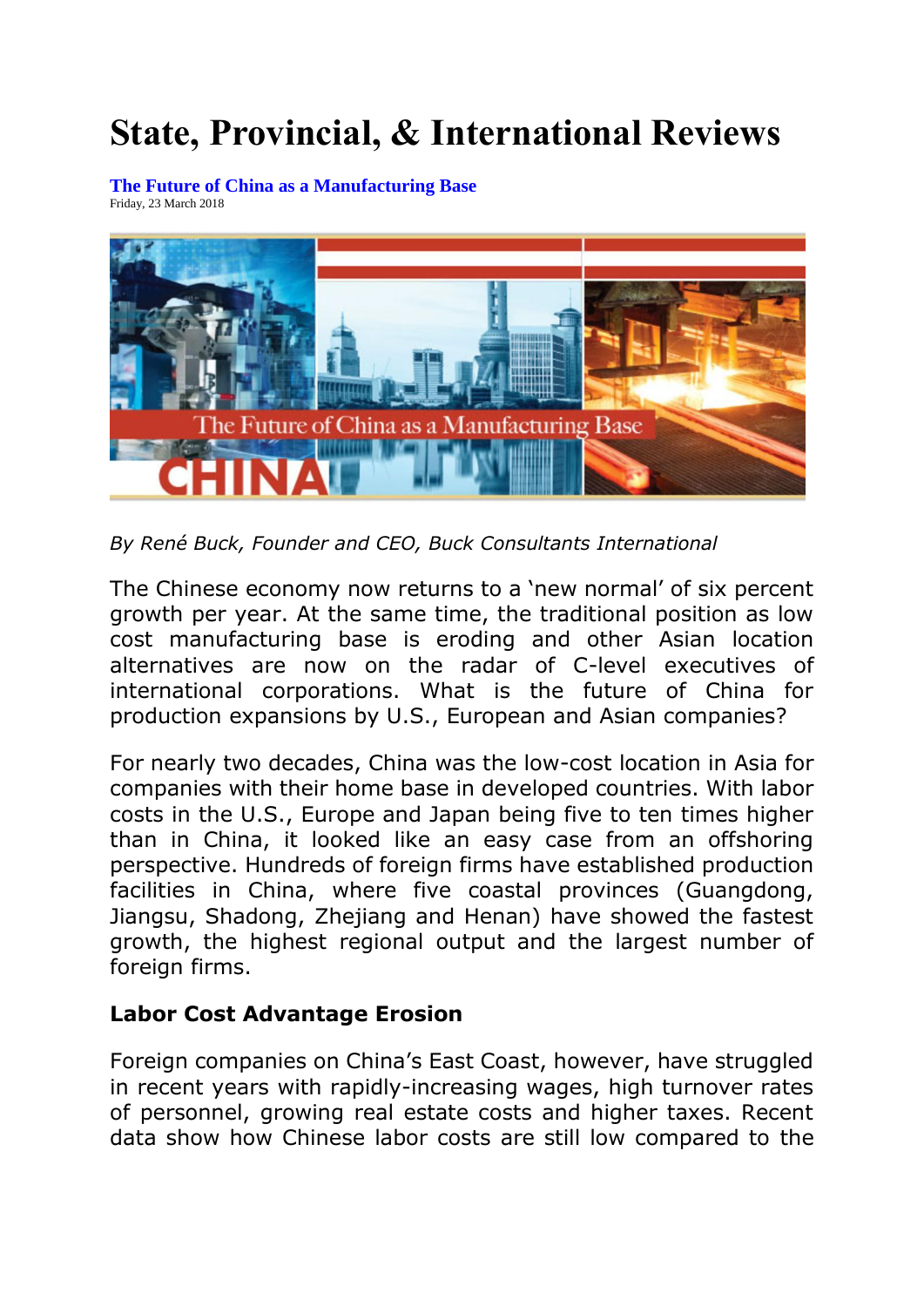## **State, Provincial, & International Reviews**

**[The Future of China as a Manufacturing Base](http://www.expansionsolutionsmagazine.com/state_reviews_blog/view/13682/the_future_of_china_as_a_manufacturing_base)** Friday, 23 March 2018



*By René Buck, Founder and CEO, Buck Consultants International*

The Chinese economy now returns to a 'new normal' of six percent growth per year. At the same time, the traditional position as low cost manufacturing base is eroding and other Asian location alternatives are now on the radar of C-level executives of international corporations. What is the future of China for production expansions by U.S., European and Asian companies?

For nearly two decades, China was the low-cost location in Asia for companies with their home base in developed countries. With labor costs in the U.S., Europe and Japan being five to ten times higher than in China, it looked like an easy case from an offshoring perspective. Hundreds of foreign firms have established production facilities in China, where five coastal provinces (Guangdong, Jiangsu, Shadong, Zhejiang and Henan) have showed the fastest growth, the highest regional output and the largest number of foreign firms.

## **Labor Cost Advantage Erosion**

Foreign companies on China's East Coast, however, have struggled in recent years with rapidly-increasing wages, high turnover rates of personnel, growing real estate costs and higher taxes. Recent data show how Chinese labor costs are still low compared to the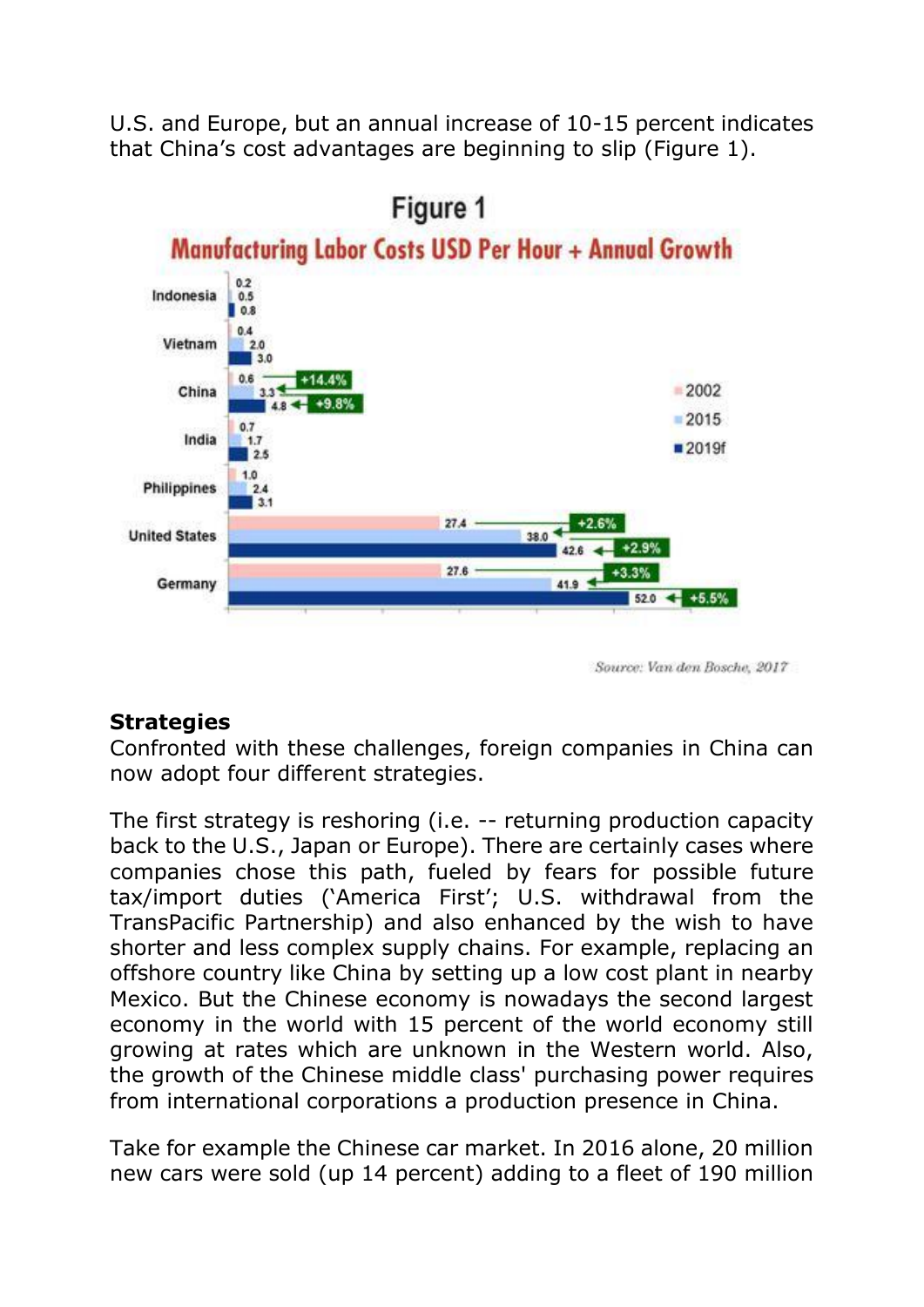U.S. and Europe, but an annual increase of 10-15 percent indicates that China's cost advantages are beginning to slip (Figure 1).



Source: Van den Bosche, 2017

## **Strategies**

Confronted with these challenges, foreign companies in China can now adopt four different strategies.

The first strategy is reshoring (i.e. -- returning production capacity back to the U.S., Japan or Europe). There are certainly cases where companies chose this path, fueled by fears for possible future tax/import duties ('America First'; U.S. withdrawal from the TransPacific Partnership) and also enhanced by the wish to have shorter and less complex supply chains. For example, replacing an offshore country like China by setting up a low cost plant in nearby Mexico. But the Chinese economy is nowadays the second largest economy in the world with 15 percent of the world economy still growing at rates which are unknown in the Western world. Also, the growth of the Chinese middle class' purchasing power requires from international corporations a production presence in China.

Take for example the Chinese car market. In 2016 alone, 20 million new cars were sold (up 14 percent) adding to a fleet of 190 million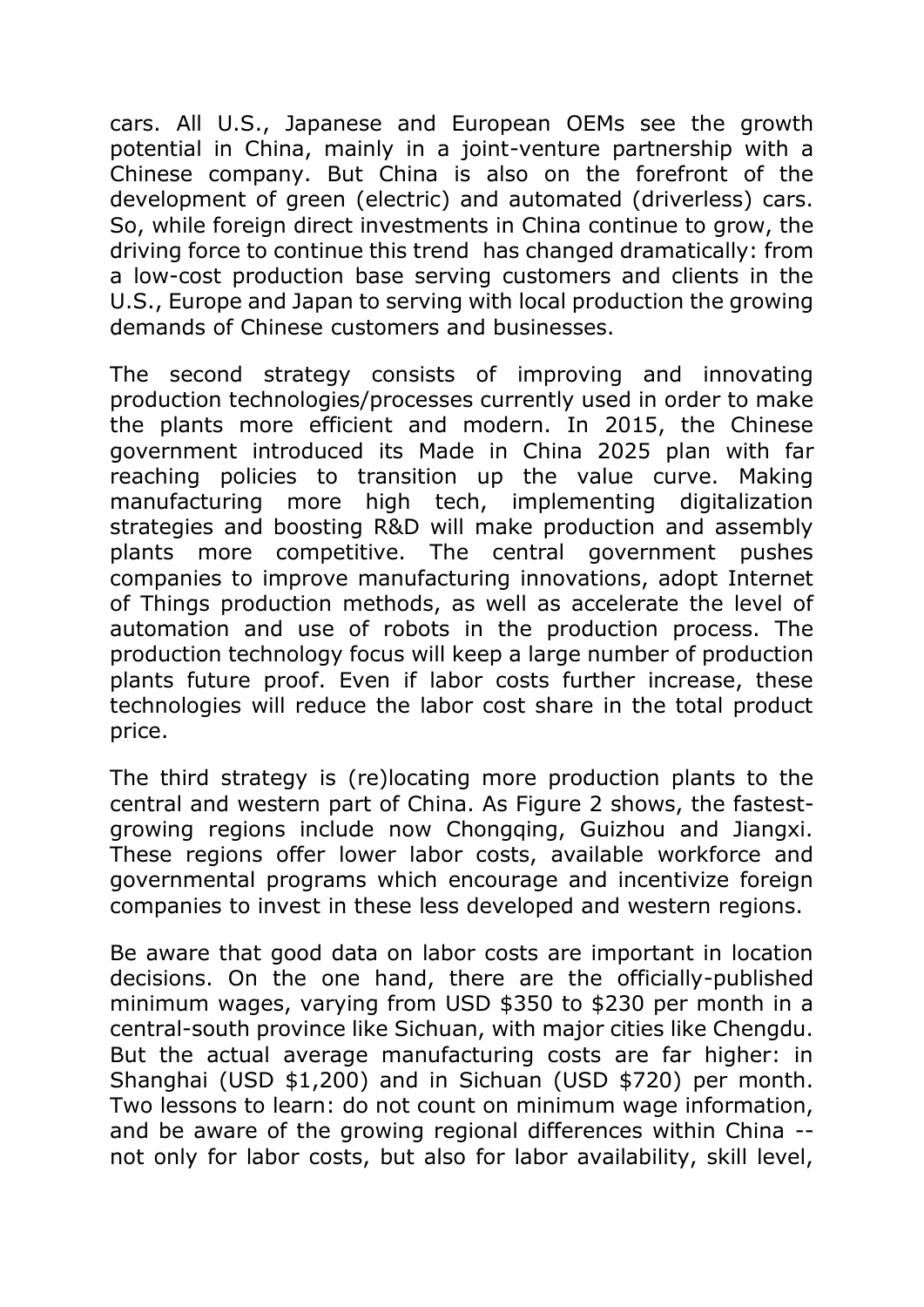cars. All U.S., Japanese and European OEMs see the growth potential in China, mainly in a joint-venture partnership with a Chinese company. But China is also on the forefront of the development of green (electric) and automated (driverless) cars. So, while foreign direct investments in China continue to grow, the driving force to continue this trend has changed dramatically: from a low-cost production base serving customers and clients in the U.S., Europe and Japan to serving with local production the growing demands of Chinese customers and businesses.

The second strategy consists of improving and innovating production technologies/processes currently used in order to make the plants more efficient and modern. In 2015, the Chinese government introduced its Made in China 2025 plan with far reaching policies to transition up the value curve. Making manufacturing more high tech, implementing digitalization strategies and boosting R&D will make production and assembly plants more competitive. The central government pushes companies to improve manufacturing innovations, adopt Internet of Things production methods, as well as accelerate the level of automation and use of robots in the production process. The production technology focus will keep a large number of production plants future proof. Even if labor costs further increase, these technologies will reduce the labor cost share in the total product price.

The third strategy is (re)locating more production plants to the central and western part of China. As Figure 2 shows, the fastestgrowing regions include now Chongqing, Guizhou and Jiangxi. These regions offer lower labor costs, available workforce and governmental programs which encourage and incentivize foreign companies to invest in these less developed and western regions.

Be aware that good data on labor costs are important in location decisions. On the one hand, there are the officially-published minimum wages, varying from USD \$350 to \$230 per month in a central-south province like Sichuan, with major cities like Chengdu. But the actual average manufacturing costs are far higher: in Shanghai (USD \$1,200) and in Sichuan (USD \$720) per month. Two lessons to learn: do not count on minimum wage information, and be aware of the growing regional differences within China - not only for labor costs, but also for labor availability, skill level,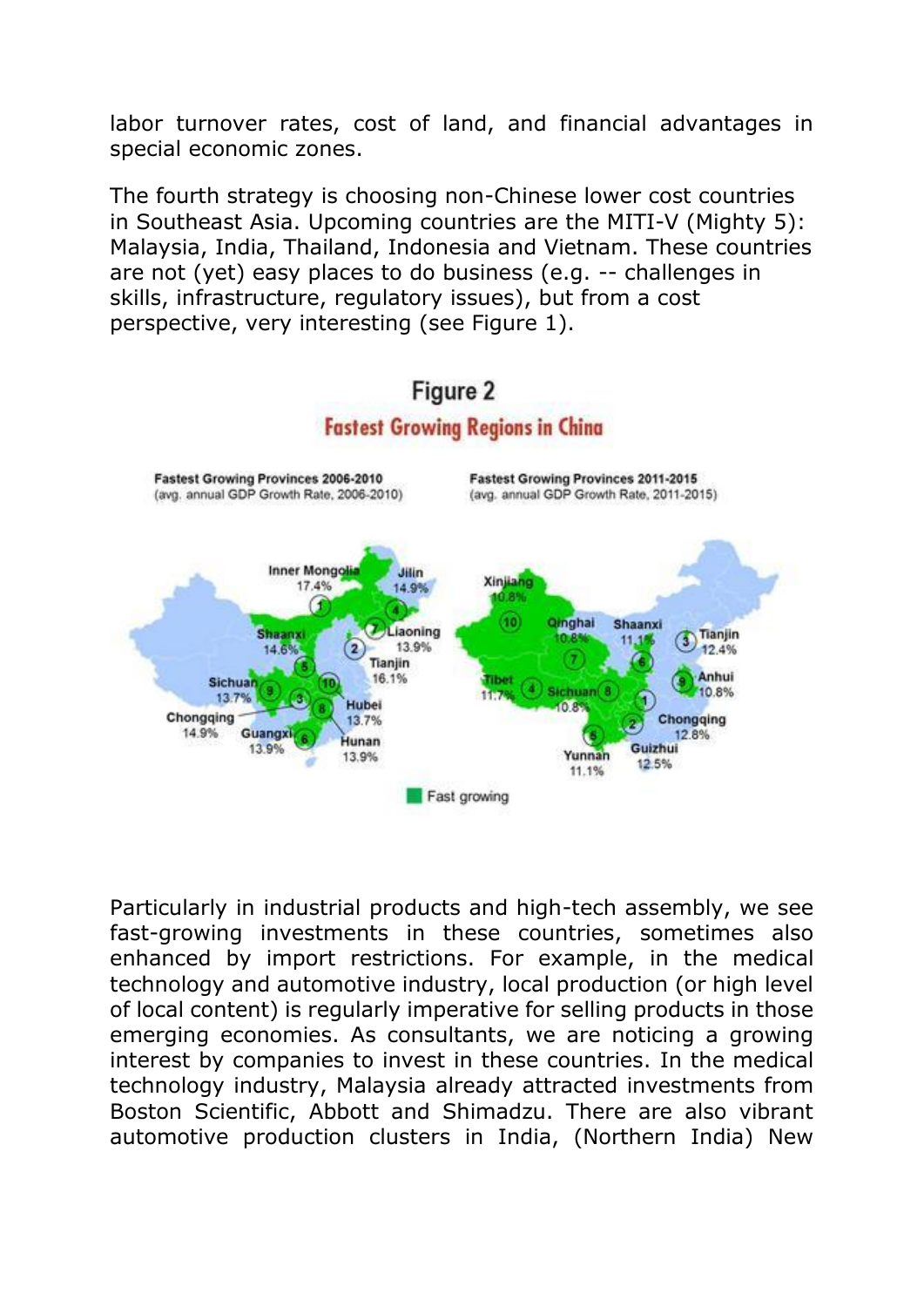labor turnover rates, cost of land, and financial advantages in special economic zones.

The fourth strategy is choosing non-Chinese lower cost countries in Southeast Asia. Upcoming countries are the MITI-V (Mighty 5): Malaysia, India, Thailand, Indonesia and Vietnam. These countries are not (yet) easy places to do business (e.g. -- challenges in skills, infrastructure, regulatory issues), but from a cost perspective, very interesting (see Figure 1).



Particularly in industrial products and high-tech assembly, we see fast-growing investments in these countries, sometimes also enhanced by import restrictions. For example, in the medical technology and automotive industry, local production (or high level of local content) is regularly imperative for selling products in those emerging economies. As consultants, we are noticing a growing interest by companies to invest in these countries. In the medical technology industry, Malaysia already attracted investments from Boston Scientific, Abbott and Shimadzu. There are also vibrant automotive production clusters in India, (Northern India) New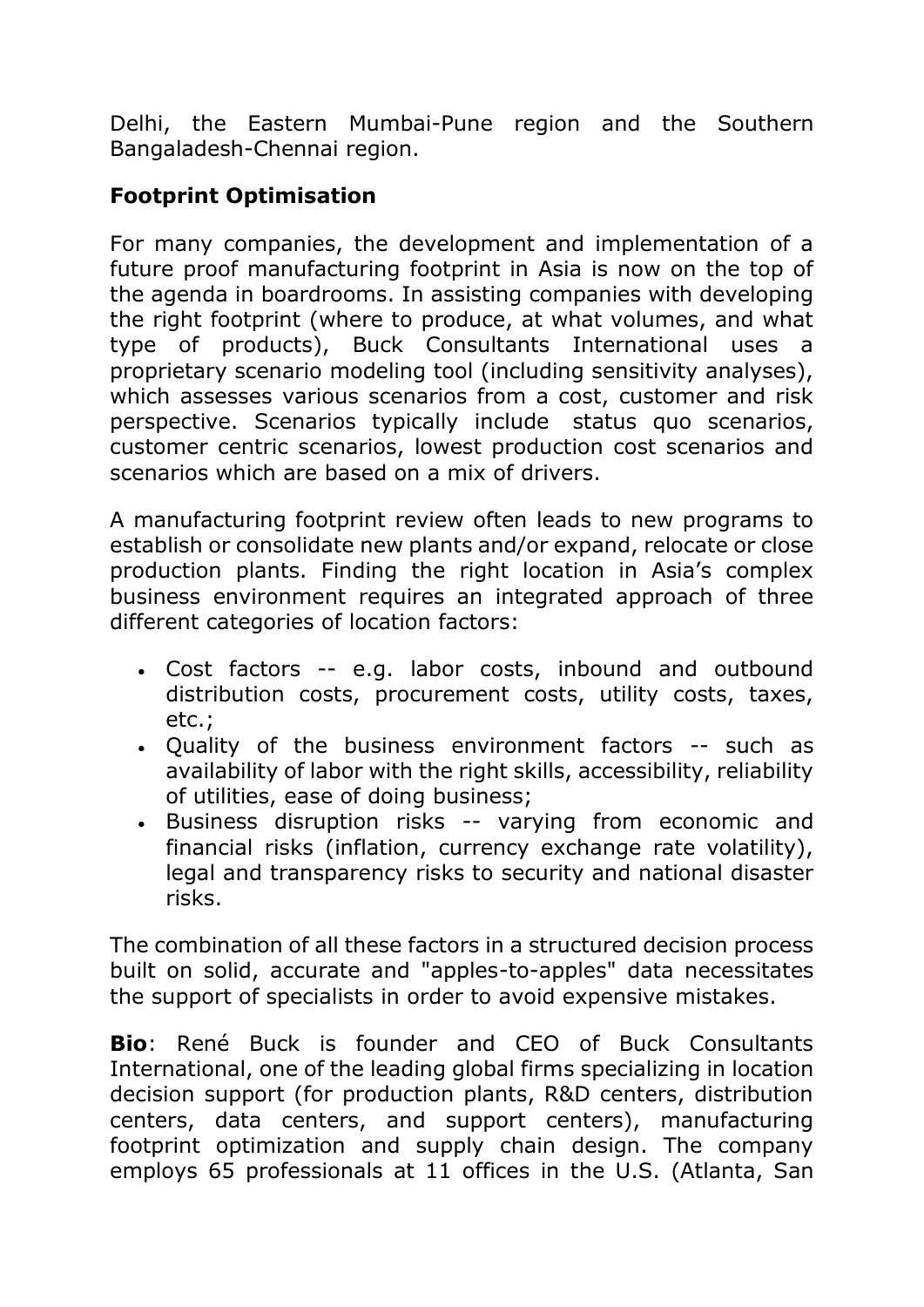Delhi, the Eastern Mumbai-Pune region and the Southern Bangaladesh-Chennai region.

## **Footprint Optimisation**

For many companies, the development and implementation of a future proof manufacturing footprint in Asia is now on the top of the agenda in boardrooms. In assisting companies with developing the right footprint (where to produce, at what volumes, and what type of products), Buck Consultants International uses a proprietary scenario modeling tool (including sensitivity analyses), which assesses various scenarios from a cost, customer and risk perspective. Scenarios typically include status quo scenarios, customer centric scenarios, lowest production cost scenarios and scenarios which are based on a mix of drivers.

A manufacturing footprint review often leads to new programs to establish or consolidate new plants and/or expand, relocate or close production plants. Finding the right location in Asia's complex business environment requires an integrated approach of three different categories of location factors:

- Cost factors -- e.g. labor costs, inbound and outbound distribution costs, procurement costs, utility costs, taxes, etc.;
- Quality of the business environment factors -- such as availability of labor with the right skills, accessibility, reliability of utilities, ease of doing business;
- Business disruption risks -- varying from economic and financial risks (inflation, currency exchange rate volatility), legal and transparency risks to security and national disaster risks.

The combination of all these factors in a structured decision process built on solid, accurate and "apples-to-apples" data necessitates the support of specialists in order to avoid expensive mistakes.

**Bio**: René Buck is founder and CEO of Buck Consultants International, one of the leading global firms specializing in location decision support (for production plants, R&D centers, distribution centers, data centers, and support centers), manufacturing footprint optimization and supply chain design. The company employs 65 professionals at 11 offices in the U.S. (Atlanta, San